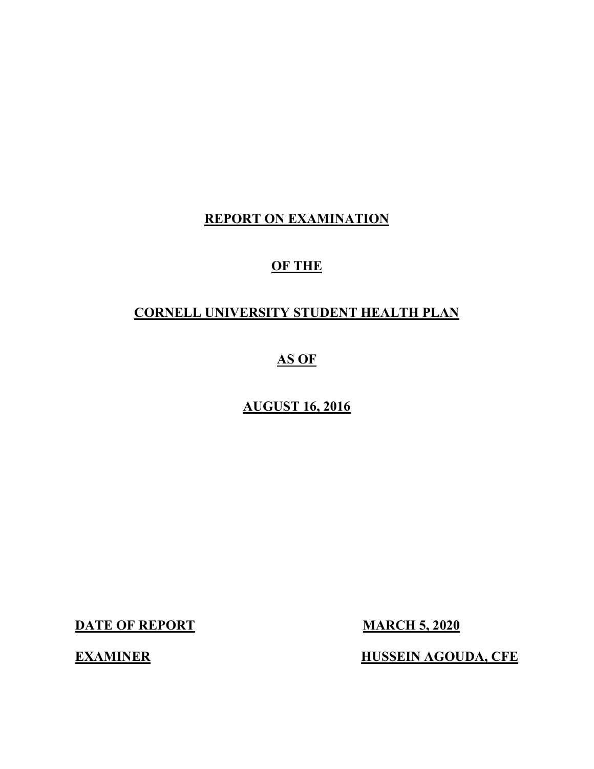# REPORT ON EXAMINATION

# OF THE

# CORNELL UNIVERSITY STUDENT HEALTH PLAN

# AS OF

# AUGUST 16, 2016

DATE OF REPORT MARCH 5, 2020

EXAMINER HUSSEIN AGOUDA, CFE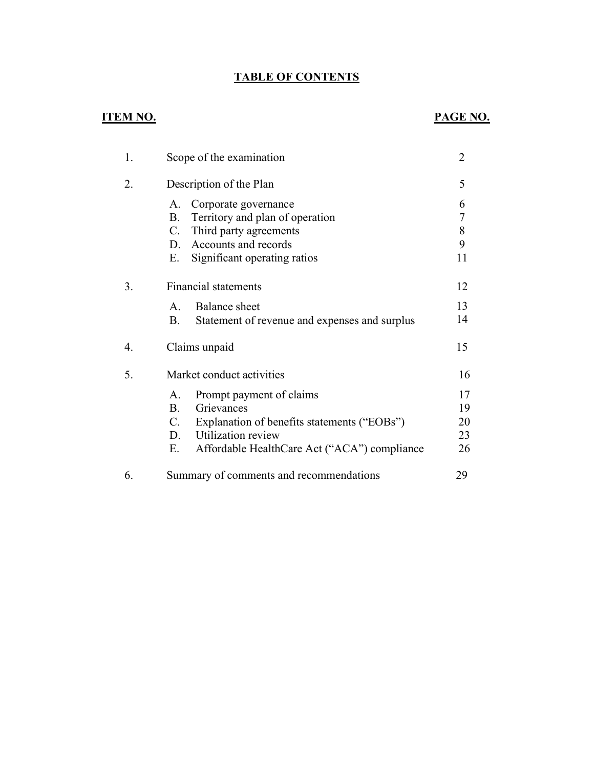# TABLE OF CONTENTS

# ITEM NO. PAGE NO.

| 1. | Scope of the examination                                                                                                                                                                          | $\overline{2}$             |
|----|---------------------------------------------------------------------------------------------------------------------------------------------------------------------------------------------------|----------------------------|
| 2. | Description of the Plan                                                                                                                                                                           | 5                          |
|    | Corporate governance<br>A.<br>Territory and plan of operation<br><b>B.</b><br>Third party agreements<br>$C_{\cdot}$<br>Accounts and records<br>D.<br>Ε.<br>Significant operating ratios           | 6<br>7<br>8<br>9<br>11     |
| 3. | <b>Financial statements</b>                                                                                                                                                                       | 12                         |
|    | <b>Balance</b> sheet<br>$\mathsf{A}$ .<br>Statement of revenue and expenses and surplus<br>B.                                                                                                     | 13<br>14                   |
| 4. | Claims unpaid                                                                                                                                                                                     | 15                         |
| 5. | Market conduct activities                                                                                                                                                                         | 16                         |
|    | Prompt payment of claims<br>А.<br>Grievances<br>$\bf{B}$ .<br>Explanation of benefits statements ("EOBs")<br>C.<br>Utilization review<br>D.<br>Affordable HealthCare Act ("ACA") compliance<br>Е. | 17<br>19<br>20<br>23<br>26 |
| 6. | Summary of comments and recommendations                                                                                                                                                           | 29                         |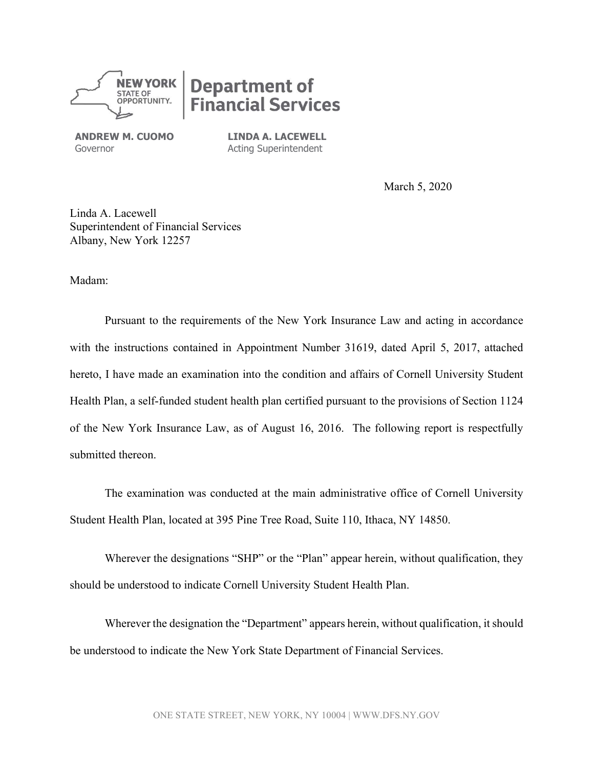

# **Department of nancial Services**

ANDREW M. CUOMO Governor

LINDA A. LACEWELL Acting Superintendent

March 5, 2020

Linda A. Lacewell Superintendent of Financial Services Albany, New York 12257

Madam:

Pursuant to the requirements of the New York Insurance Law and acting in accordance with the instructions contained in Appointment Number 31619, dated April 5, 2017, attached hereto, I have made an examination into the condition and affairs of Cornell University Student Health Plan, a self-funded student health plan certified pursuant to the provisions of Section 1124 of the New York Insurance Law, as of August 16, 2016. The following report is respectfully submitted thereon.

The examination was conducted at the main administrative office of Cornell University Student Health Plan, located at 395 Pine Tree Road, Suite 110, Ithaca, NY 14850.

Wherever the designations "SHP" or the "Plan" appear herein, without qualification, they should be understood to indicate Cornell University Student Health Plan.

Wherever the designation the "Department" appears herein, without qualification, it should be understood to indicate the New York State Department of Financial Services.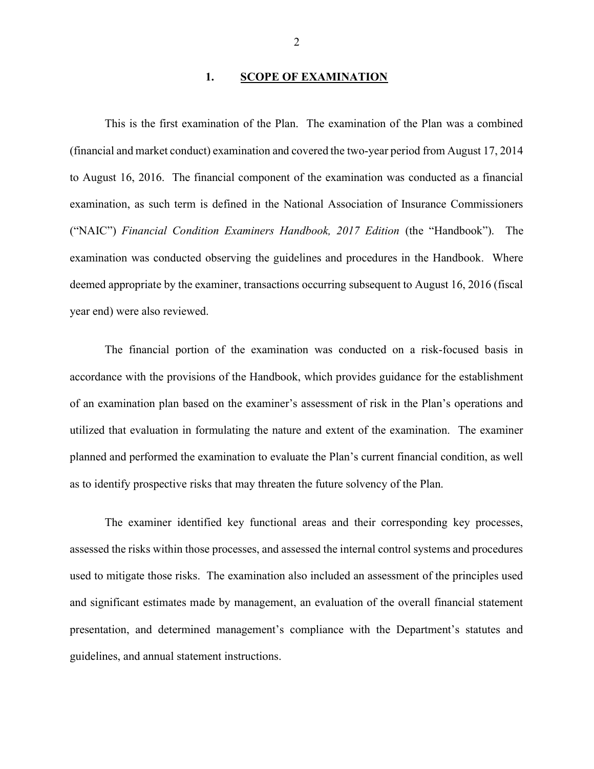#### 1. SCOPE OF EXAMINATION

This is the first examination of the Plan. The examination of the Plan was a combined (financial and market conduct) examination and covered the two-year period from August 17, 2014 to August 16, 2016. The financial component of the examination was conducted as a financial examination, as such term is defined in the National Association of Insurance Commissioners ("NAIC") Financial Condition Examiners Handbook, 2017 Edition (the "Handbook"). The examination was conducted observing the guidelines and procedures in the Handbook. Where deemed appropriate by the examiner, transactions occurring subsequent to August 16, 2016 (fiscal year end) were also reviewed.

The financial portion of the examination was conducted on a risk-focused basis in accordance with the provisions of the Handbook, which provides guidance for the establishment of an examination plan based on the examiner's assessment of risk in the Plan's operations and utilized that evaluation in formulating the nature and extent of the examination. The examiner planned and performed the examination to evaluate the Plan's current financial condition, as well as to identify prospective risks that may threaten the future solvency of the Plan.

The examiner identified key functional areas and their corresponding key processes, assessed the risks within those processes, and assessed the internal control systems and procedures used to mitigate those risks. The examination also included an assessment of the principles used and significant estimates made by management, an evaluation of the overall financial statement presentation, and determined management's compliance with the Department's statutes and guidelines, and annual statement instructions.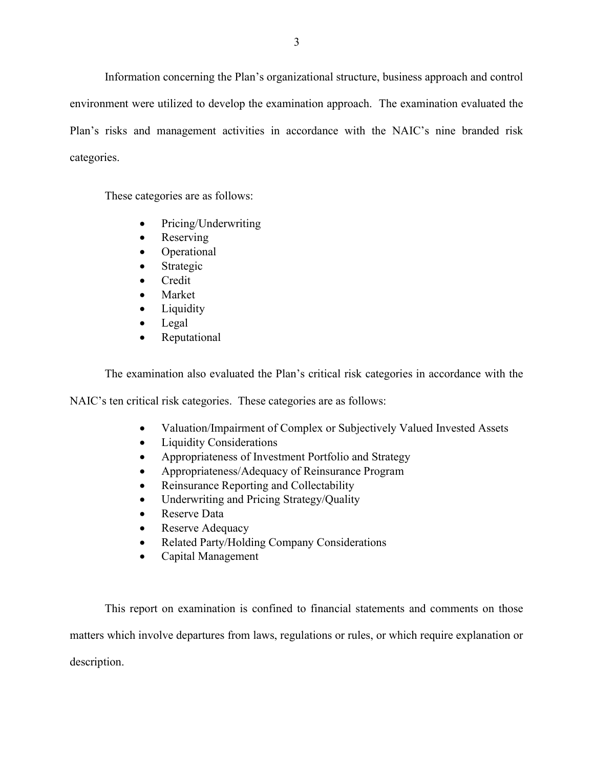Information concerning the Plan's organizational structure, business approach and control environment were utilized to develop the examination approach. The examination evaluated the Plan's risks and management activities in accordance with the NAIC's nine branded risk categories.

These categories are as follows:

- Pricing/Underwriting
- Reserving
- Operational
- Strategic
- Credit
- Market
- Liquidity
- Legal
- Reputational

The examination also evaluated the Plan's critical risk categories in accordance with the

NAIC's ten critical risk categories. These categories are as follows:

- Valuation/Impairment of Complex or Subjectively Valued Invested Assets
- Liquidity Considerations
- Appropriateness of Investment Portfolio and Strategy
- Appropriateness/Adequacy of Reinsurance Program
- Reinsurance Reporting and Collectability
- Underwriting and Pricing Strategy/Quality
- Reserve Data
- Reserve Adequacy
- Related Party/Holding Company Considerations
- Capital Management

This report on examination is confined to financial statements and comments on those matters which involve departures from laws, regulations or rules, or which require explanation or description.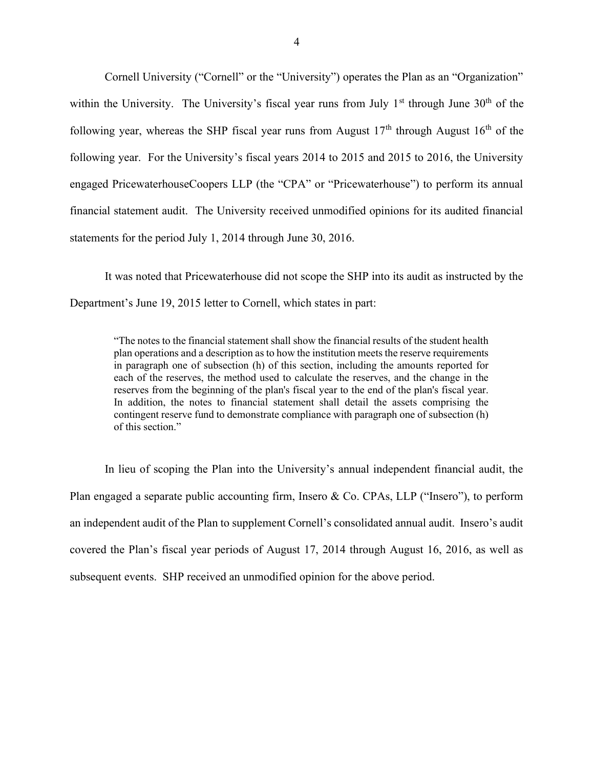Cornell University ("Cornell" or the "University") operates the Plan as an "Organization" within the University. The University's fiscal year runs from July  $1<sup>st</sup>$  through June  $30<sup>th</sup>$  of the following year, whereas the SHP fiscal year runs from August  $17<sup>th</sup>$  through August  $16<sup>th</sup>$  of the following year. For the University's fiscal years 2014 to 2015 and 2015 to 2016, the University engaged PricewaterhouseCoopers LLP (the "CPA" or "Pricewaterhouse") to perform its annual financial statement audit. The University received unmodified opinions for its audited financial statements for the period July 1, 2014 through June 30, 2016.

It was noted that Pricewaterhouse did not scope the SHP into its audit as instructed by the Department's June 19, 2015 letter to Cornell, which states in part:

"The notes to the financial statement shall show the financial results of the student health plan operations and a description as to how the institution meets the reserve requirements in paragraph one of subsection (h) of this section, including the amounts reported for each of the reserves, the method used to calculate the reserves, and the change in the reserves from the beginning of the plan's fiscal year to the end of the plan's fiscal year. In addition, the notes to financial statement shall detail the assets comprising the contingent reserve fund to demonstrate compliance with paragraph one of subsection (h) of this section."

In lieu of scoping the Plan into the University's annual independent financial audit, the Plan engaged a separate public accounting firm, Insero & Co. CPAs, LLP ("Insero"), to perform an independent audit of the Plan to supplement Cornell's consolidated annual audit. Insero's audit covered the Plan's fiscal year periods of August 17, 2014 through August 16, 2016, as well as subsequent events. SHP received an unmodified opinion for the above period.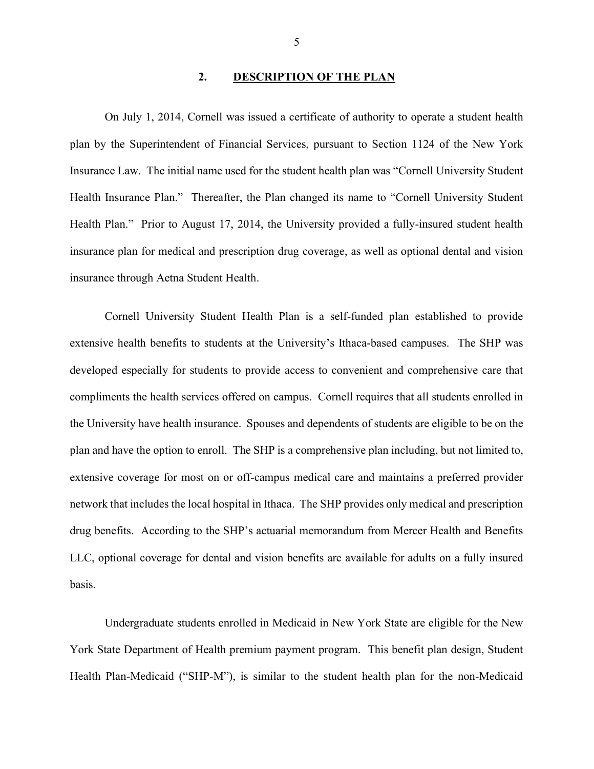#### 2. DESCRIPTION OF THE PLAN

On July 1, 2014, Cornell was issued a certificate of authority to operate a student health plan by the Superintendent of Financial Services, pursuant to Section 1124 of the New York Insurance Law. The initial name used for the student health plan was "Cornell University Student Health Insurance Plan." Thereafter, the Plan changed its name to "Cornell University Student Health Plan." Prior to August 17, 2014, the University provided a fully-insured student health insurance plan for medical and prescription drug coverage, as well as optional dental and vision insurance through Aetna Student Health.

Cornell University Student Health Plan is a self-funded plan established to provide extensive health benefits to students at the University's Ithaca-based campuses. The SHP was developed especially for students to provide access to convenient and comprehensive care that compliments the health services offered on campus. Cornell requires that all students enrolled in the University have health insurance. Spouses and dependents of students are eligible to be on the plan and have the option to enroll. The SHP is a comprehensive plan including, but not limited to, extensive coverage for most on or off-campus medical care and maintains a preferred provider network that includes the local hospital in Ithaca. The SHP provides only medical and prescription drug benefits. According to the SHP's actuarial memorandum from Mercer Health and Benefits LLC, optional coverage for dental and vision benefits are available for adults on a fully insured basis.

Undergraduate students enrolled in Medicaid in New York State are eligible for the New York State Department of Health premium payment program. This benefit plan design, Student Health Plan-Medicaid ("SHP-M"), is similar to the student health plan for the non-Medicaid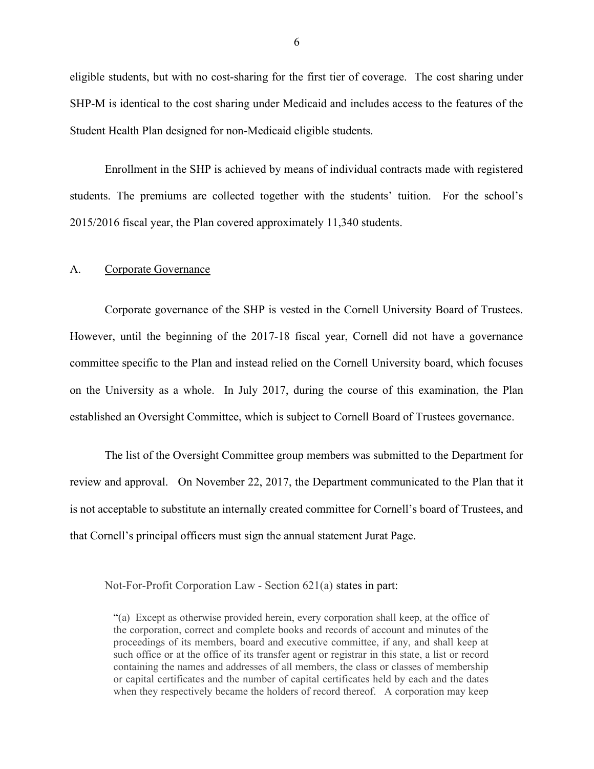eligible students, but with no cost-sharing for the first tier of coverage. The cost sharing under SHP-M is identical to the cost sharing under Medicaid and includes access to the features of the Student Health Plan designed for non-Medicaid eligible students.

Enrollment in the SHP is achieved by means of individual contracts made with registered students. The premiums are collected together with the students' tuition. For the school's 2015/2016 fiscal year, the Plan covered approximately 11,340 students.

#### A. Corporate Governance

Corporate governance of the SHP is vested in the Cornell University Board of Trustees. However, until the beginning of the 2017-18 fiscal year, Cornell did not have a governance committee specific to the Plan and instead relied on the Cornell University board, which focuses on the University as a whole. In July 2017, during the course of this examination, the Plan established an Oversight Committee, which is subject to Cornell Board of Trustees governance.

The list of the Oversight Committee group members was submitted to the Department for review and approval. On November 22, 2017, the Department communicated to the Plan that it is not acceptable to substitute an internally created committee for Cornell's board of Trustees, and that Cornell's principal officers must sign the annual statement Jurat Page.

Not-For-Profit Corporation Law - Section 621(a) states in part:

<sup>&</sup>quot;(a) Except as otherwise provided herein, every corporation shall keep, at the office of the corporation, correct and complete books and records of account and minutes of the proceedings of its members, board and executive committee, if any, and shall keep at such office or at the office of its transfer agent or registrar in this state, a list or record containing the names and addresses of all members, the class or classes of membership or capital certificates and the number of capital certificates held by each and the dates when they respectively became the holders of record thereof. A corporation may keep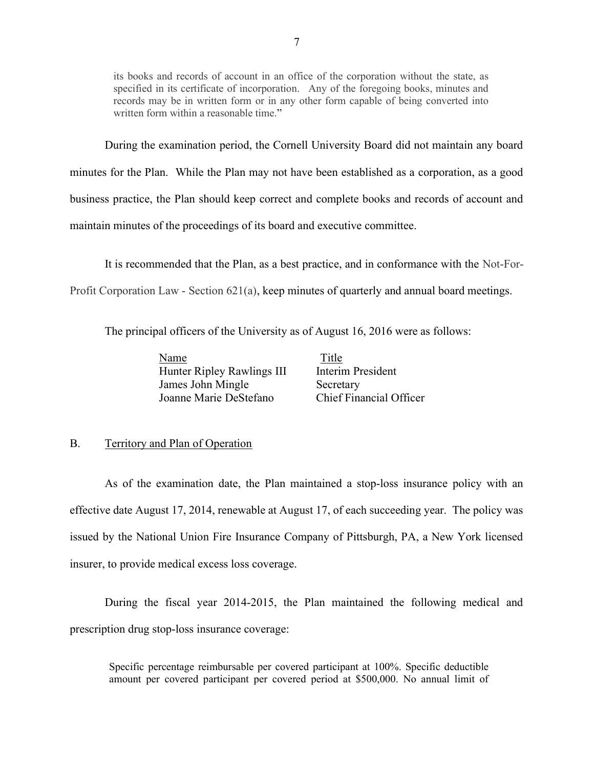its books and records of account in an office of the corporation without the state, as specified in its certificate of incorporation. Any of the foregoing books, minutes and records may be in written form or in any other form capable of being converted into written form within a reasonable time."

During the examination period, the Cornell University Board did not maintain any board minutes for the Plan. While the Plan may not have been established as a corporation, as a good business practice, the Plan should keep correct and complete books and records of account and maintain minutes of the proceedings of its board and executive committee.

It is recommended that the Plan, as a best practice, and in conformance with the Not-For-

Profit Corporation Law - Section 621(a), keep minutes of quarterly and annual board meetings.

The principal officers of the University as of August 16, 2016 were as follows:

| Name                       |
|----------------------------|
| Hunter Ripley Rawlings III |
| James John Mingle          |
| Joanne Marie DeStefano     |

Title Interim President Secretary Chief Financial Officer

#### B. Territory and Plan of Operation

As of the examination date, the Plan maintained a stop-loss insurance policy with an effective date August 17, 2014, renewable at August 17, of each succeeding year. The policy was issued by the National Union Fire Insurance Company of Pittsburgh, PA, a New York licensed insurer, to provide medical excess loss coverage.

During the fiscal year 2014-2015, the Plan maintained the following medical and prescription drug stop-loss insurance coverage:

Specific percentage reimbursable per covered participant at 100%. Specific deductible amount per covered participant per covered period at \$500,000. No annual limit of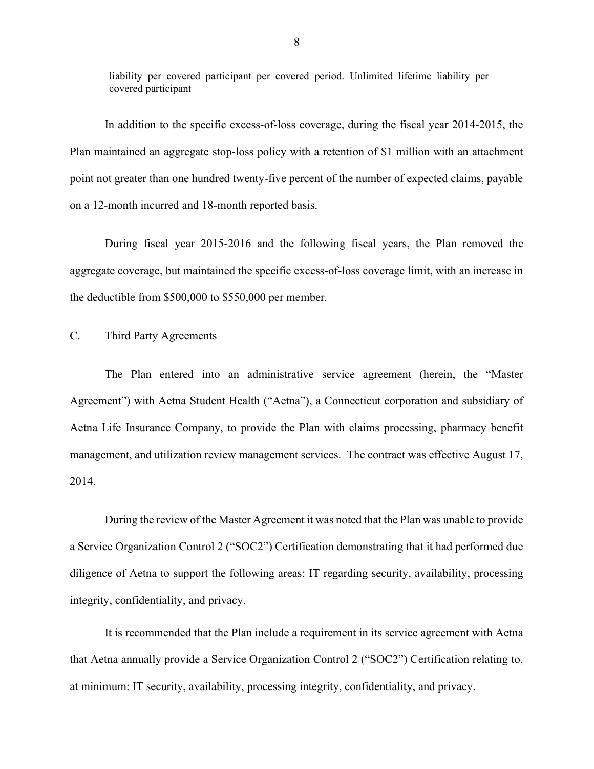liability per covered participant per covered period. Unlimited lifetime liability per covered participant

In addition to the specific excess-of-loss coverage, during the fiscal year 2014-2015, the Plan maintained an aggregate stop-loss policy with a retention of \$1 million with an attachment point not greater than one hundred twenty-five percent of the number of expected claims, payable on a 12-month incurred and 18-month reported basis.

During fiscal year 2015-2016 and the following fiscal years, the Plan removed the aggregate coverage, but maintained the specific excess-of-loss coverage limit, with an increase in the deductible from \$500,000 to \$550,000 per member.

#### C. Third Party Agreements

The Plan entered into an administrative service agreement (herein, the "Master Agreement") with Aetna Student Health ("Aetna"), a Connecticut corporation and subsidiary of Aetna Life Insurance Company, to provide the Plan with claims processing, pharmacy benefit management, and utilization review management services. The contract was effective August 17, 2014.

During the review of the Master Agreement it was noted that the Plan was unable to provide a Service Organization Control 2 ("SOC2") Certification demonstrating that it had performed due diligence of Aetna to support the following areas: IT regarding security, availability, processing integrity, confidentiality, and privacy.

It is recommended that the Plan include a requirement in its service agreement with Aetna that Aetna annually provide a Service Organization Control 2 ("SOC2") Certification relating to, at minimum: IT security, availability, processing integrity, confidentiality, and privacy.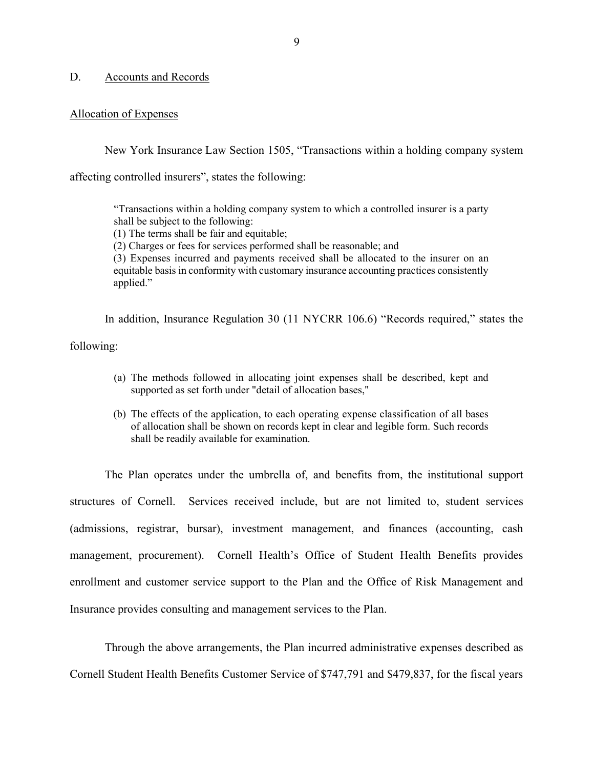#### D. Accounts and Records

#### Allocation of Expenses

New York Insurance Law Section 1505, "Transactions within a holding company system

affecting controlled insurers", states the following:

"Transactions within a holding company system to which a controlled insurer is a party shall be subject to the following:

(1) The terms shall be fair and equitable;

(2) Charges or fees for services performed shall be reasonable; and

(3) Expenses incurred and payments received shall be allocated to the insurer on an equitable basis in conformity with customary insurance accounting practices consistently applied."

In addition, Insurance Regulation 30 (11 NYCRR 106.6) "Records required," states the following:

- (a) The methods followed in allocating joint expenses shall be described, kept and supported as set forth under "detail of allocation bases,"
- (b) The effects of the application, to each operating expense classification of all bases of allocation shall be shown on records kept in clear and legible form. Such records shall be readily available for examination.

The Plan operates under the umbrella of, and benefits from, the institutional support structures of Cornell. Services received include, but are not limited to, student services (admissions, registrar, bursar), investment management, and finances (accounting, cash management, procurement). Cornell Health's Office of Student Health Benefits provides enrollment and customer service support to the Plan and the Office of Risk Management and Insurance provides consulting and management services to the Plan.

Through the above arrangements, the Plan incurred administrative expenses described as Cornell Student Health Benefits Customer Service of \$747,791 and \$479,837, for the fiscal years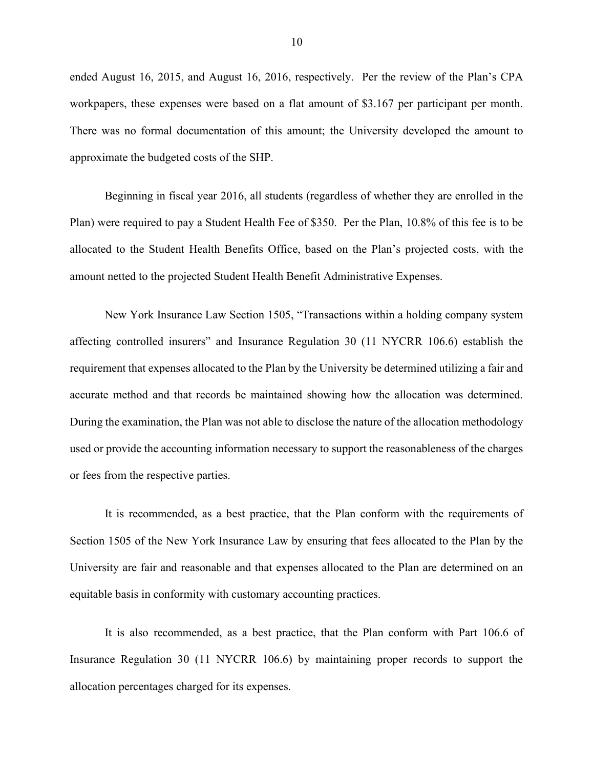ended August 16, 2015, and August 16, 2016, respectively. Per the review of the Plan's CPA workpapers, these expenses were based on a flat amount of \$3.167 per participant per month. There was no formal documentation of this amount; the University developed the amount to approximate the budgeted costs of the SHP.

Beginning in fiscal year 2016, all students (regardless of whether they are enrolled in the Plan) were required to pay a Student Health Fee of \$350. Per the Plan, 10.8% of this fee is to be allocated to the Student Health Benefits Office, based on the Plan's projected costs, with the amount netted to the projected Student Health Benefit Administrative Expenses.

New York Insurance Law Section 1505, "Transactions within a holding company system affecting controlled insurers" and Insurance Regulation 30 (11 NYCRR 106.6) establish the requirement that expenses allocated to the Plan by the University be determined utilizing a fair and accurate method and that records be maintained showing how the allocation was determined. During the examination, the Plan was not able to disclose the nature of the allocation methodology used or provide the accounting information necessary to support the reasonableness of the charges or fees from the respective parties.

It is recommended, as a best practice, that the Plan conform with the requirements of Section 1505 of the New York Insurance Law by ensuring that fees allocated to the Plan by the University are fair and reasonable and that expenses allocated to the Plan are determined on an equitable basis in conformity with customary accounting practices.

It is also recommended, as a best practice, that the Plan conform with Part 106.6 of Insurance Regulation 30 (11 NYCRR 106.6) by maintaining proper records to support the allocation percentages charged for its expenses.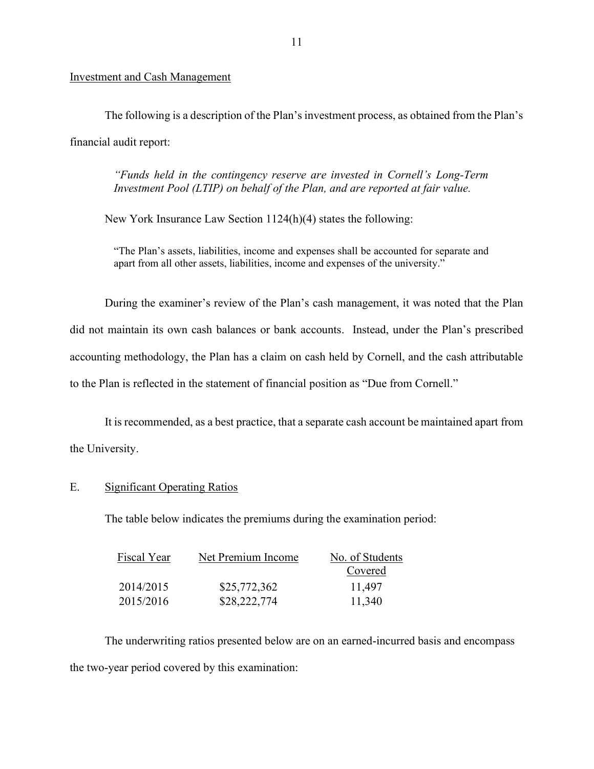#### Investment and Cash Management

The following is a description of the Plan's investment process, as obtained from the Plan's financial audit report:

"Funds held in the contingency reserve are invested in Cornell's Long-Term Investment Pool (LTIP) on behalf of the Plan, and are reported at fair value.

New York Insurance Law Section 1124(h)(4) states the following:

"The Plan's assets, liabilities, income and expenses shall be accounted for separate and apart from all other assets, liabilities, income and expenses of the university."

During the examiner's review of the Plan's cash management, it was noted that the Plan did not maintain its own cash balances or bank accounts. Instead, under the Plan's prescribed accounting methodology, the Plan has a claim on cash held by Cornell, and the cash attributable to the Plan is reflected in the statement of financial position as "Due from Cornell."

It is recommended, as a best practice, that a separate cash account be maintained apart from the University.

## E. Significant Operating Ratios

The table below indicates the premiums during the examination period:

| Fiscal Year | Net Premium Income | No. of Students |
|-------------|--------------------|-----------------|
|             |                    | Covered         |
| 2014/2015   | \$25,772,362       | 11,497          |
| 2015/2016   | \$28,222,774       | 11,340          |

The underwriting ratios presented below are on an earned-incurred basis and encompass the two-year period covered by this examination: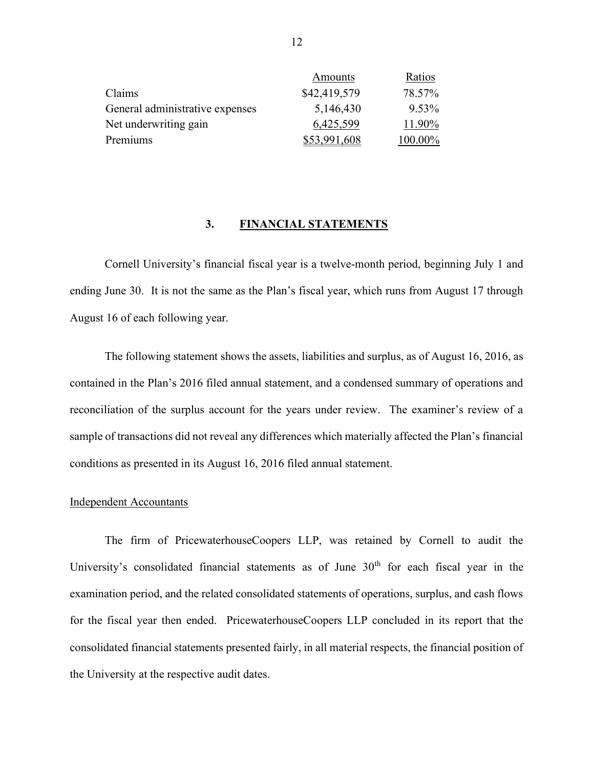|                                 | Amounts      | Ratios     |
|---------------------------------|--------------|------------|
| Claims                          | \$42,419,579 | 78.57%     |
| General administrative expenses | 5,146,430    | 9.53%      |
| Net underwriting gain           | 6,425,599    | 11.90%     |
| Premiums                        | \$53,991,608 | $100.00\%$ |

#### 3. FINANCIAL STATEMENTS

Cornell University's financial fiscal year is a twelve-month period, beginning July 1 and ending June 30. It is not the same as the Plan's fiscal year, which runs from August 17 through August 16 of each following year.

The following statement shows the assets, liabilities and surplus, as of August 16, 2016, as contained in the Plan's 2016 filed annual statement, and a condensed summary of operations and reconciliation of the surplus account for the years under review. The examiner's review of a sample of transactions did not reveal any differences which materially affected the Plan's financial conditions as presented in its August 16, 2016 filed annual statement.

#### Independent Accountants

The firm of PricewaterhouseCoopers LLP, was retained by Cornell to audit the University's consolidated financial statements as of June  $30<sup>th</sup>$  for each fiscal year in the examination period, and the related consolidated statements of operations, surplus, and cash flows for the fiscal year then ended. PricewaterhouseCoopers LLP concluded in its report that the consolidated financial statements presented fairly, in all material respects, the financial position of the University at the respective audit dates.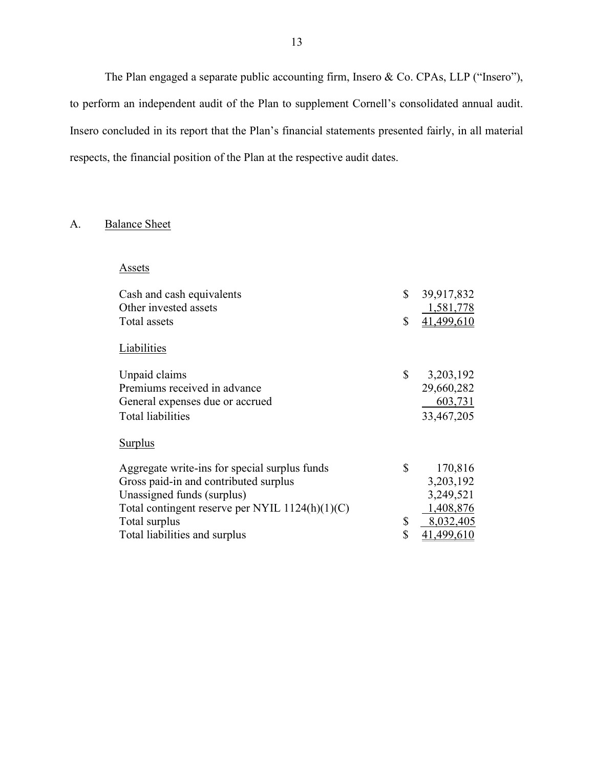The Plan engaged a separate public accounting firm, Insero & Co. CPAs, LLP ("Insero"), to perform an independent audit of the Plan to supplement Cornell's consolidated annual audit. Insero concluded in its report that the Plan's financial statements presented fairly, in all material respects, the financial position of the Plan at the respective audit dates.

# A. Balance Sheet

|--|

| Cash and cash equivalents                         | \$<br>39,917,832 |
|---------------------------------------------------|------------------|
| Other invested assets                             | 1,581,778        |
| Total assets                                      | \$<br>41,499,610 |
| Liabilities                                       |                  |
| Unpaid claims                                     | \$<br>3,203,192  |
| Premiums received in advance                      | 29,660,282       |
| General expenses due or accrued                   | 603,731          |
| Total liabilities                                 | 33,467,205       |
| <b>Surplus</b>                                    |                  |
| Aggregate write-ins for special surplus funds     | \$<br>170,816    |
| Gross paid-in and contributed surplus             | 3,203,192        |
| Unassigned funds (surplus)                        | 3,249,521        |
| Total contingent reserve per NYIL $1124(h)(1)(C)$ | 1,408,876        |
| Total surplus                                     | \$<br>8,032,405  |
| Total liabilities and surplus                     | \$<br>41,499,610 |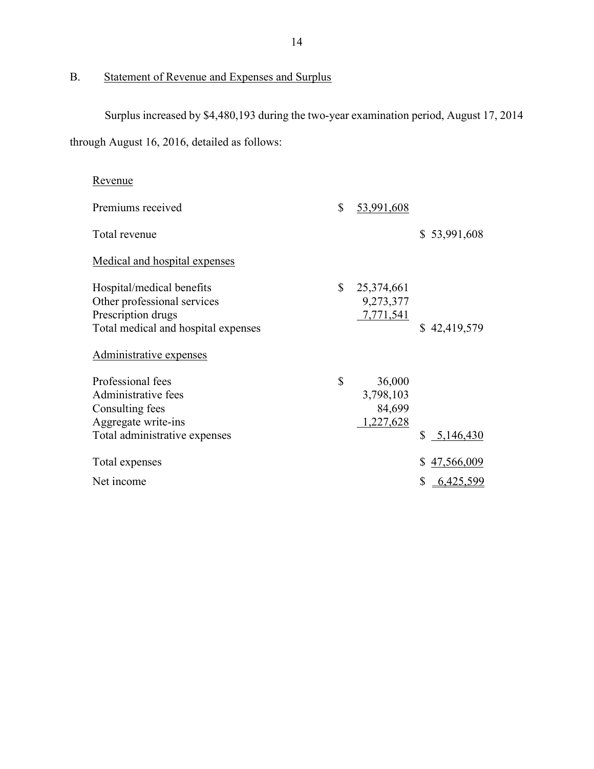# B. Statement of Revenue and Expenses and Surplus

Surplus increased by \$4,480,193 during the two-year examination period, August 17, 2014 through August 16, 2016, detailed as follows:

| <u>Revenue</u>                                                                                                        |              |                                            |                  |
|-----------------------------------------------------------------------------------------------------------------------|--------------|--------------------------------------------|------------------|
| Premiums received                                                                                                     | \$           | 53,991,608                                 |                  |
| Total revenue                                                                                                         |              |                                            | \$53,991,608     |
| Medical and hospital expenses                                                                                         |              |                                            |                  |
| Hospital/medical benefits<br>Other professional services<br>Prescription drugs<br>Total medical and hospital expenses | $\mathbb{S}$ | 25,374,661<br>9,273,377<br>7,771,541       | \$42,419,579     |
| <u>Administrative expenses</u>                                                                                        |              |                                            |                  |
| Professional fees<br>Administrative fees<br>Consulting fees<br>Aggregate write-ins<br>Total administrative expenses   | $\mathbb{S}$ | 36,000<br>3,798,103<br>84,699<br>1,227,628 | \$<br>5,146,430  |
| Total expenses                                                                                                        |              |                                            | \$<br>47,566,009 |
| Net income                                                                                                            |              |                                            | \$<br>6,425,599  |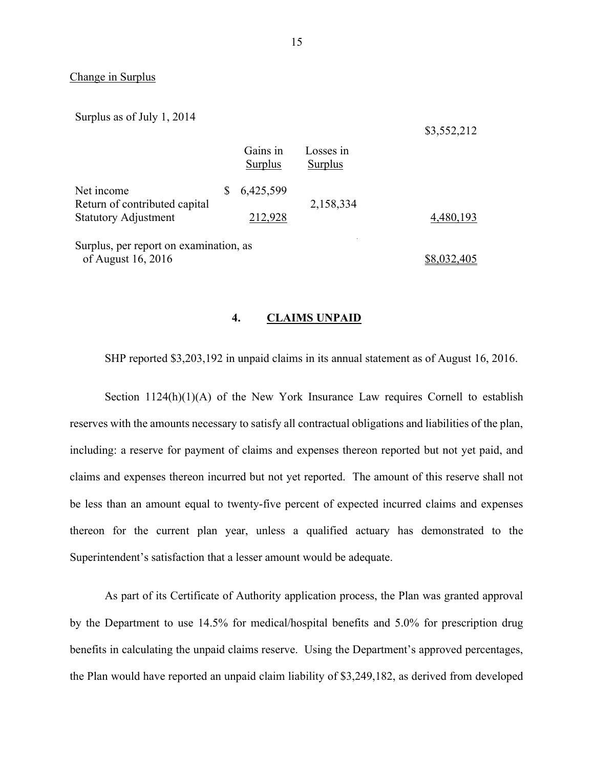#### Change in Surplus

Surplus as of July 1, 2014

\$3,552,212

|                                                              | Gains in<br>Surplus | Losses in<br>Surplus |             |
|--------------------------------------------------------------|---------------------|----------------------|-------------|
| Net income                                                   | 6,425,599           |                      |             |
| Return of contributed capital<br><b>Statutory Adjustment</b> | 212,928             | 2,158,334            | 4,480,193   |
| Surplus, per report on examination, as<br>of August 16, 2016 |                     |                      | \$8,032,405 |

#### 4. CLAIMS UNPAID

SHP reported \$3,203,192 in unpaid claims in its annual statement as of August 16, 2016.

Section  $1124(h)(1)(A)$  of the New York Insurance Law requires Cornell to establish reserves with the amounts necessary to satisfy all contractual obligations and liabilities of the plan, including: a reserve for payment of claims and expenses thereon reported but not yet paid, and claims and expenses thereon incurred but not yet reported. The amount of this reserve shall not be less than an amount equal to twenty-five percent of expected incurred claims and expenses thereon for the current plan year, unless a qualified actuary has demonstrated to the Superintendent's satisfaction that a lesser amount would be adequate.

As part of its Certificate of Authority application process, the Plan was granted approval by the Department to use 14.5% for medical/hospital benefits and 5.0% for prescription drug benefits in calculating the unpaid claims reserve. Using the Department's approved percentages, the Plan would have reported an unpaid claim liability of \$3,249,182, as derived from developed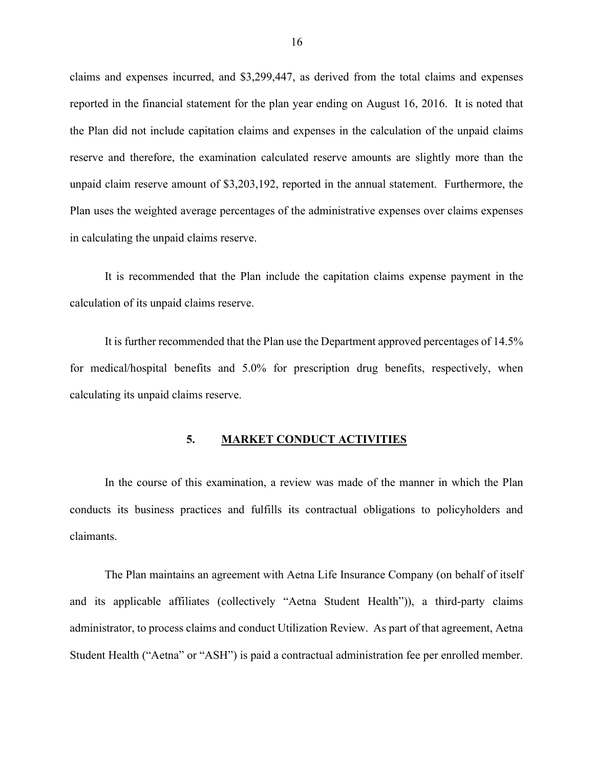claims and expenses incurred, and \$3,299,447, as derived from the total claims and expenses reported in the financial statement for the plan year ending on August 16, 2016. It is noted that the Plan did not include capitation claims and expenses in the calculation of the unpaid claims reserve and therefore, the examination calculated reserve amounts are slightly more than the unpaid claim reserve amount of \$3,203,192, reported in the annual statement. Furthermore, the Plan uses the weighted average percentages of the administrative expenses over claims expenses in calculating the unpaid claims reserve.

It is recommended that the Plan include the capitation claims expense payment in the calculation of its unpaid claims reserve.

It is further recommended that the Plan use the Department approved percentages of 14.5% for medical/hospital benefits and 5.0% for prescription drug benefits, respectively, when calculating its unpaid claims reserve.

#### 5. MARKET CONDUCT ACTIVITIES

In the course of this examination, a review was made of the manner in which the Plan conducts its business practices and fulfills its contractual obligations to policyholders and claimants.

The Plan maintains an agreement with Aetna Life Insurance Company (on behalf of itself and its applicable affiliates (collectively "Aetna Student Health")), a third-party claims administrator, to process claims and conduct Utilization Review. As part of that agreement, Aetna Student Health ("Aetna" or "ASH") is paid a contractual administration fee per enrolled member.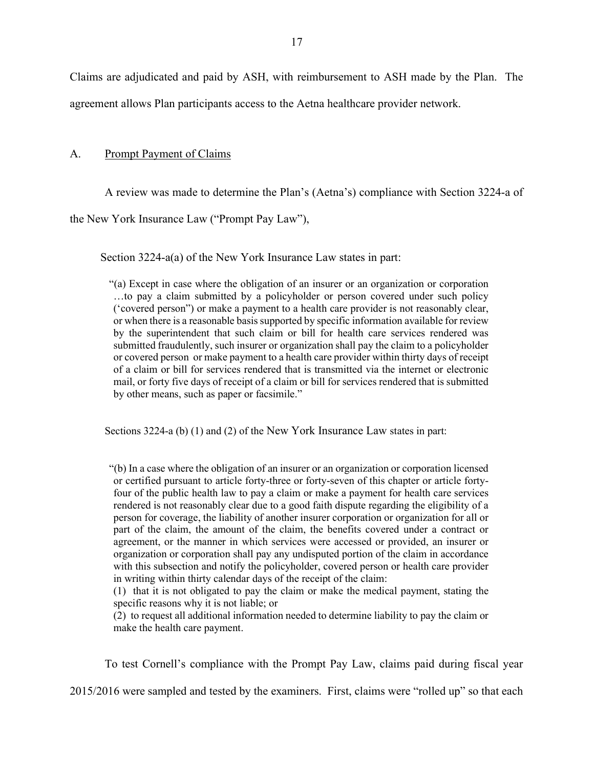Claims are adjudicated and paid by ASH, with reimbursement to ASH made by the Plan. The agreement allows Plan participants access to the Aetna healthcare provider network.

#### A. Prompt Payment of Claims

A review was made to determine the Plan's (Aetna's) compliance with Section 3224-a of

the New York Insurance Law ("Prompt Pay Law"),

Section 3224-a(a) of the New York Insurance Law states in part:

"(a) Except in case where the obligation of an insurer or an organization or corporation …to pay a claim submitted by a policyholder or person covered under such policy ('covered person") or make a payment to a health care provider is not reasonably clear, or when there is a reasonable basis supported by specific information available for review by the superintendent that such claim or bill for health care services rendered was submitted fraudulently, such insurer or organization shall pay the claim to a policyholder or covered person or make payment to a health care provider within thirty days of receipt of a claim or bill for services rendered that is transmitted via the internet or electronic mail, or forty five days of receipt of a claim or bill for services rendered that is submitted by other means, such as paper or facsimile."

Sections 3224-a (b) (1) and (2) of the New York Insurance Law states in part:

"(b) In a case where the obligation of an insurer or an organization or corporation licensed or certified pursuant to article forty-three or forty-seven of this chapter or article fortyfour of the public health law to pay a claim or make a payment for health care services rendered is not reasonably clear due to a good faith dispute regarding the eligibility of a person for coverage, the liability of another insurer corporation or organization for all or part of the claim, the amount of the claim, the benefits covered under a contract or agreement, or the manner in which services were accessed or provided, an insurer or organization or corporation shall pay any undisputed portion of the claim in accordance with this subsection and notify the policyholder, covered person or health care provider in writing within thirty calendar days of the receipt of the claim:

(1) that it is not obligated to pay the claim or make the medical payment, stating the specific reasons why it is not liable; or

(2) to request all additional information needed to determine liability to pay the claim or make the health care payment.

To test Cornell's compliance with the Prompt Pay Law, claims paid during fiscal year

2015/2016 were sampled and tested by the examiners. First, claims were "rolled up" so that each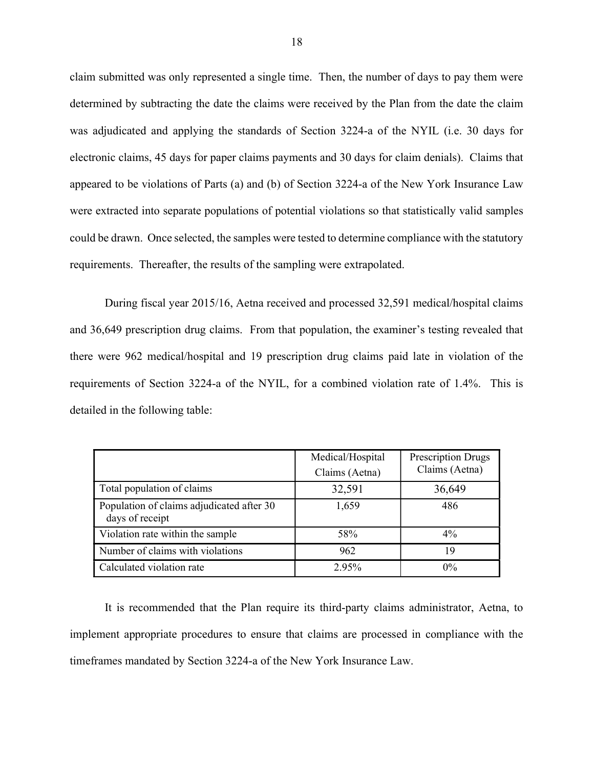claim submitted was only represented a single time. Then, the number of days to pay them were determined by subtracting the date the claims were received by the Plan from the date the claim was adjudicated and applying the standards of Section 3224-a of the NYIL (i.e. 30 days for electronic claims, 45 days for paper claims payments and 30 days for claim denials). Claims that appeared to be violations of Parts (a) and (b) of Section 3224-a of the New York Insurance Law were extracted into separate populations of potential violations so that statistically valid samples could be drawn. Once selected, the samples were tested to determine compliance with the statutory requirements. Thereafter, the results of the sampling were extrapolated.

During fiscal year 2015/16, Aetna received and processed 32,591 medical/hospital claims and 36,649 prescription drug claims. From that population, the examiner's testing revealed that there were 962 medical/hospital and 19 prescription drug claims paid late in violation of the requirements of Section 3224-a of the NYIL, for a combined violation rate of 1.4%. This is detailed in the following table:

|                                                              | Medical/Hospital<br>Claims (Aetna) | <b>Prescription Drugs</b><br>Claims (Aetna) |
|--------------------------------------------------------------|------------------------------------|---------------------------------------------|
| Total population of claims                                   | 32,591                             | 36,649                                      |
| Population of claims adjudicated after 30<br>days of receipt | 1,659                              | 486                                         |
| Violation rate within the sample                             | 58%                                | $4\%$                                       |
| Number of claims with violations                             | 962                                | 19                                          |
| Calculated violation rate                                    | 2.95%                              | $0\%$                                       |

 It is recommended that the Plan require its third-party claims administrator, Aetna, to implement appropriate procedures to ensure that claims are processed in compliance with the timeframes mandated by Section 3224-a of the New York Insurance Law.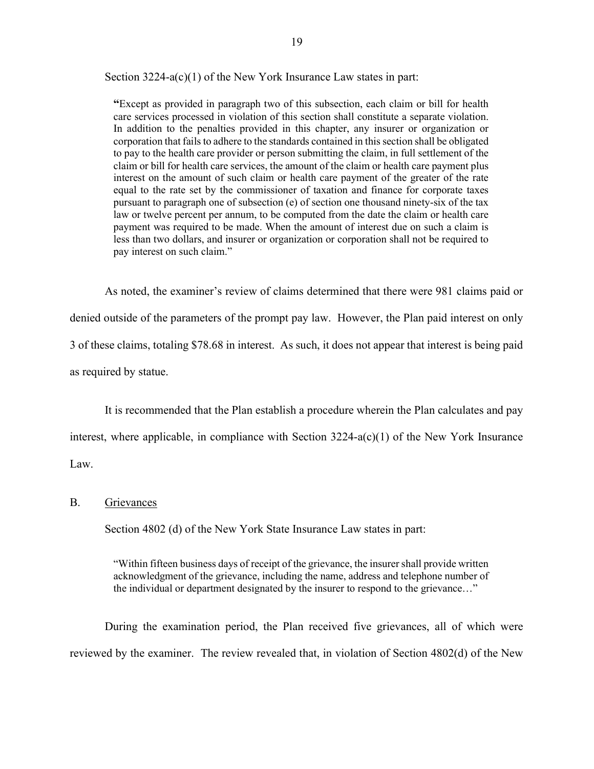Section 3224-a(c)(1) of the New York Insurance Law states in part:

"Except as provided in paragraph two of this subsection, each claim or bill for health care services processed in violation of this section shall constitute a separate violation. In addition to the penalties provided in this chapter, any insurer or organization or corporation that fails to adhere to the standards contained in this section shall be obligated to pay to the health care provider or person submitting the claim, in full settlement of the claim or bill for health care services, the amount of the claim or health care payment plus interest on the amount of such claim or health care payment of the greater of the rate equal to the rate set by the commissioner of taxation and finance for corporate taxes pursuant to paragraph one of subsection (e) of section one thousand ninety-six of the tax law or twelve percent per annum, to be computed from the date the claim or health care payment was required to be made. When the amount of interest due on such a claim is less than two dollars, and insurer or organization or corporation shall not be required to pay interest on such claim."

As noted, the examiner's review of claims determined that there were 981 claims paid or denied outside of the parameters of the prompt pay law. However, the Plan paid interest on only 3 of these claims, totaling \$78.68 in interest. As such, it does not appear that interest is being paid as required by statue.

It is recommended that the Plan establish a procedure wherein the Plan calculates and pay interest, where applicable, in compliance with Section 3224-a(c)(1) of the New York Insurance Law.

#### B. Grievances

Section 4802 (d) of the New York State Insurance Law states in part:

"Within fifteen business days of receipt of the grievance, the insurer shall provide written acknowledgment of the grievance, including the name, address and telephone number of the individual or department designated by the insurer to respond to the grievance…"

During the examination period, the Plan received five grievances, all of which were reviewed by the examiner. The review revealed that, in violation of Section 4802(d) of the New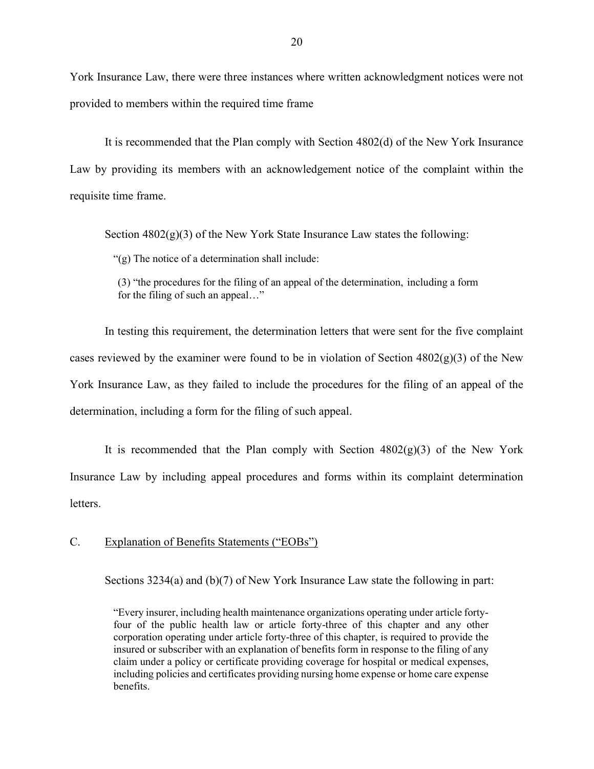York Insurance Law, there were three instances where written acknowledgment notices were not provided to members within the required time frame

It is recommended that the Plan comply with Section 4802(d) of the New York Insurance Law by providing its members with an acknowledgement notice of the complaint within the requisite time frame.

Section  $4802(g)(3)$  of the New York State Insurance Law states the following:

"(g) The notice of a determination shall include:

(3) "the procedures for the filing of an appeal of the determination, including a form for the filing of such an appeal…"

In testing this requirement, the determination letters that were sent for the five complaint cases reviewed by the examiner were found to be in violation of Section  $4802(g)(3)$  of the New York Insurance Law, as they failed to include the procedures for the filing of an appeal of the determination, including a form for the filing of such appeal.

It is recommended that the Plan comply with Section  $4802(g)(3)$  of the New York Insurance Law by including appeal procedures and forms within its complaint determination letters.

#### C. Explanation of Benefits Statements ("EOBs")

Sections 3234(a) and (b)(7) of New York Insurance Law state the following in part:

"Every insurer, including health maintenance organizations operating under article fortyfour of the public health law or article forty-three of this chapter and any other corporation operating under article forty-three of this chapter, is required to provide the insured or subscriber with an explanation of benefits form in response to the filing of any claim under a policy or certificate providing coverage for hospital or medical expenses, including policies and certificates providing nursing home expense or home care expense benefits.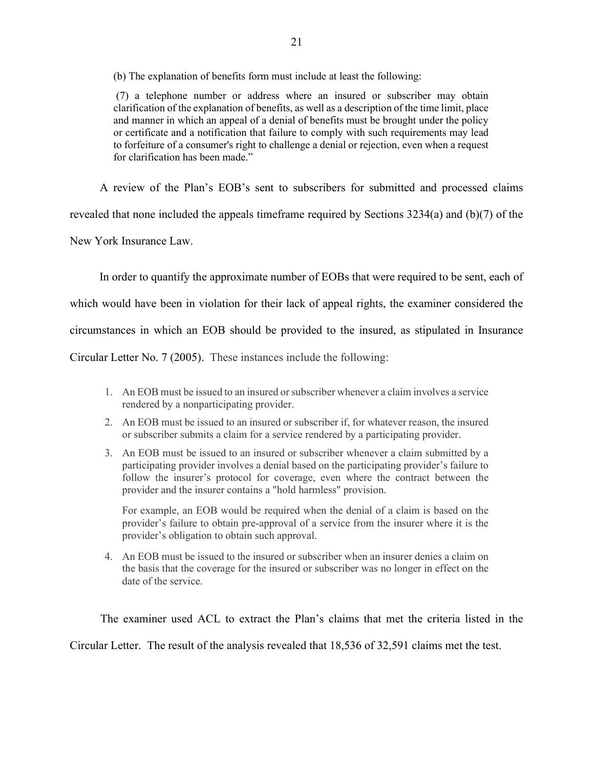(b) The explanation of benefits form must include at least the following:

 (7) a telephone number or address where an insured or subscriber may obtain clarification of the explanation of benefits, as well as a description of the time limit, place and manner in which an appeal of a denial of benefits must be brought under the policy or certificate and a notification that failure to comply with such requirements may lead to forfeiture of a consumer's right to challenge a denial or rejection, even when a request for clarification has been made."

A review of the Plan's EOB's sent to subscribers for submitted and processed claims

revealed that none included the appeals timeframe required by Sections 3234(a) and (b)(7) of the

New York Insurance Law.

In order to quantify the approximate number of EOBs that were required to be sent, each of

which would have been in violation for their lack of appeal rights, the examiner considered the

circumstances in which an EOB should be provided to the insured, as stipulated in Insurance

Circular Letter No. 7 (2005). These instances include the following:

- 1. An EOB must be issued to an insured or subscriber whenever a claim involves a service rendered by a nonparticipating provider.
- 2. An EOB must be issued to an insured or subscriber if, for whatever reason, the insured or subscriber submits a claim for a service rendered by a participating provider.
- 3. An EOB must be issued to an insured or subscriber whenever a claim submitted by a participating provider involves a denial based on the participating provider's failure to follow the insurer's protocol for coverage, even where the contract between the provider and the insurer contains a "hold harmless" provision.

For example, an EOB would be required when the denial of a claim is based on the provider's failure to obtain pre-approval of a service from the insurer where it is the provider's obligation to obtain such approval.

4. An EOB must be issued to the insured or subscriber when an insurer denies a claim on the basis that the coverage for the insured or subscriber was no longer in effect on the date of the service.

The examiner used ACL to extract the Plan's claims that met the criteria listed in the Circular Letter. The result of the analysis revealed that 18,536 of 32,591 claims met the test.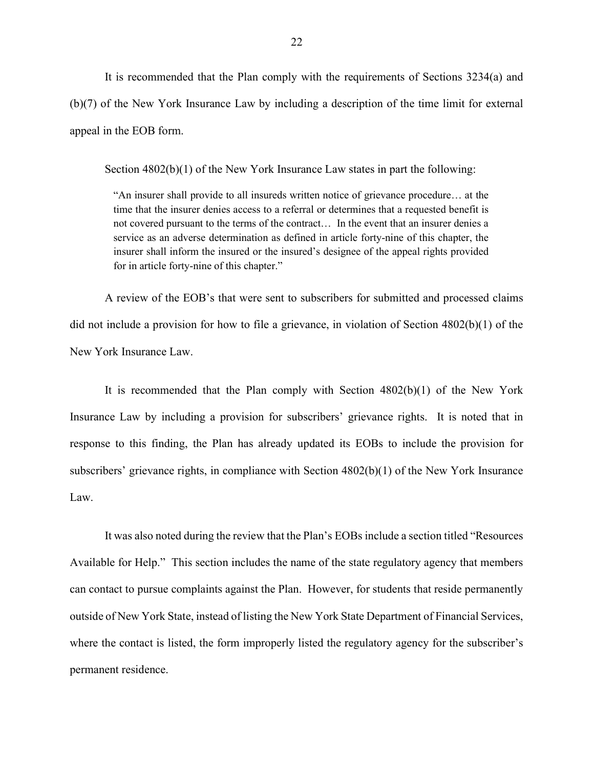It is recommended that the Plan comply with the requirements of Sections 3234(a) and (b)(7) of the New York Insurance Law by including a description of the time limit for external appeal in the EOB form.

Section 4802(b)(1) of the New York Insurance Law states in part the following:

"An insurer shall provide to all insureds written notice of grievance procedure… at the time that the insurer denies access to a referral or determines that a requested benefit is not covered pursuant to the terms of the contract… In the event that an insurer denies a service as an adverse determination as defined in article forty-nine of this chapter, the insurer shall inform the insured or the insured's designee of the appeal rights provided for in article forty-nine of this chapter."

A review of the EOB's that were sent to subscribers for submitted and processed claims did not include a provision for how to file a grievance, in violation of Section 4802(b)(1) of the New York Insurance Law.

It is recommended that the Plan comply with Section 4802(b)(1) of the New York Insurance Law by including a provision for subscribers' grievance rights. It is noted that in response to this finding, the Plan has already updated its EOBs to include the provision for subscribers' grievance rights, in compliance with Section 4802(b)(1) of the New York Insurance Law.

It was also noted during the review that the Plan's EOBs include a section titled "Resources Available for Help." This section includes the name of the state regulatory agency that members can contact to pursue complaints against the Plan. However, for students that reside permanently outside of New York State, instead of listing the New York State Department of Financial Services, where the contact is listed, the form improperly listed the regulatory agency for the subscriber's permanent residence.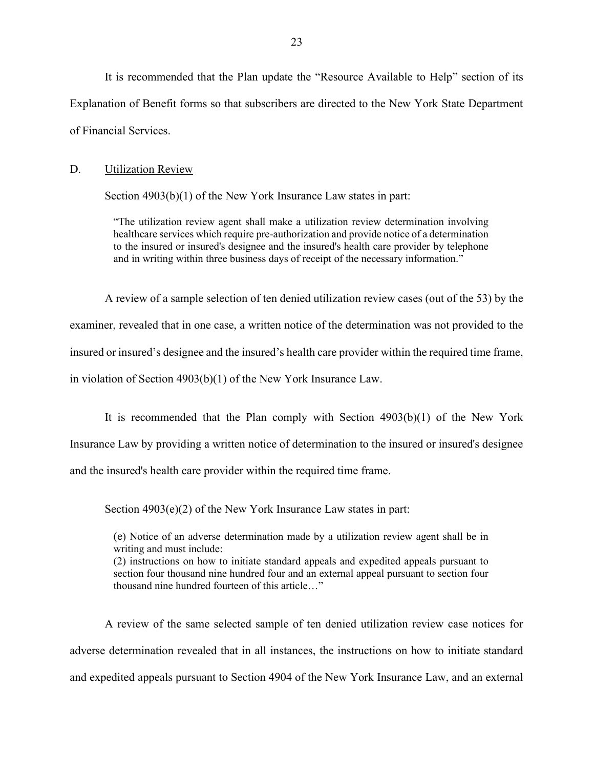It is recommended that the Plan update the "Resource Available to Help" section of its Explanation of Benefit forms so that subscribers are directed to the New York State Department of Financial Services.

#### D. Utilization Review

Section 4903(b)(1) of the New York Insurance Law states in part:

"The utilization review agent shall make a utilization review determination involving healthcare services which require pre-authorization and provide notice of a determination to the insured or insured's designee and the insured's health care provider by telephone and in writing within three business days of receipt of the necessary information."

A review of a sample selection of ten denied utilization review cases (out of the 53) by the examiner, revealed that in one case, a written notice of the determination was not provided to the insured or insured's designee and the insured's health care provider within the required time frame, in violation of Section 4903(b)(1) of the New York Insurance Law.

It is recommended that the Plan comply with Section 4903(b)(1) of the New York Insurance Law by providing a written notice of determination to the insured or insured's designee and the insured's health care provider within the required time frame.

Section 4903(e)(2) of the New York Insurance Law states in part:

(e) Notice of an adverse determination made by a utilization review agent shall be in writing and must include:

(2) instructions on how to initiate standard appeals and expedited appeals pursuant to section four thousand nine hundred four and an external appeal pursuant to section four thousand nine hundred fourteen of this article…"

A review of the same selected sample of ten denied utilization review case notices for adverse determination revealed that in all instances, the instructions on how to initiate standard and expedited appeals pursuant to Section 4904 of the New York Insurance Law, and an external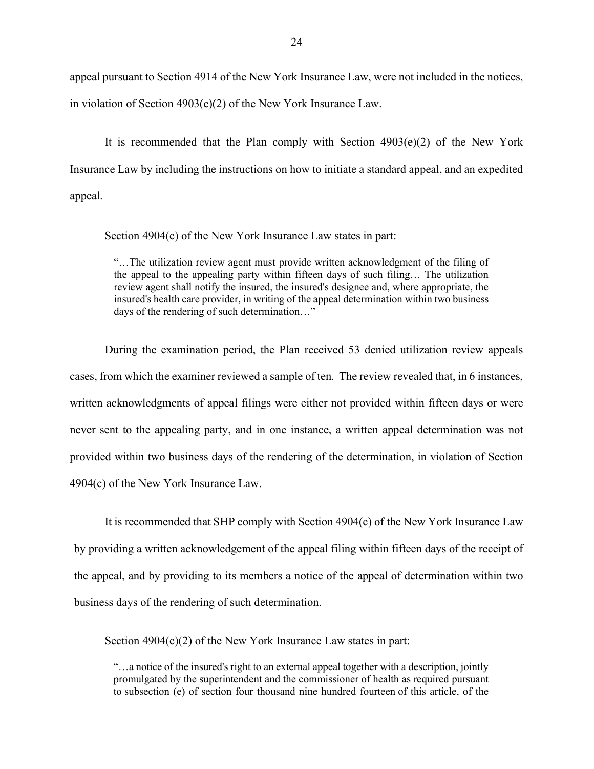appeal pursuant to Section 4914 of the New York Insurance Law, were not included in the notices, in violation of Section 4903(e)(2) of the New York Insurance Law.

It is recommended that the Plan comply with Section  $4903(e)(2)$  of the New York Insurance Law by including the instructions on how to initiate a standard appeal, and an expedited appeal.

Section 4904(c) of the New York Insurance Law states in part:

"…The utilization review agent must provide written acknowledgment of the filing of the appeal to the appealing party within fifteen days of such filing… The utilization review agent shall notify the insured, the insured's designee and, where appropriate, the insured's health care provider, in writing of the appeal determination within two business days of the rendering of such determination…"

During the examination period, the Plan received 53 denied utilization review appeals cases, from which the examiner reviewed a sample of ten. The review revealed that, in 6 instances, written acknowledgments of appeal filings were either not provided within fifteen days or were never sent to the appealing party, and in one instance, a written appeal determination was not provided within two business days of the rendering of the determination, in violation of Section 4904(c) of the New York Insurance Law.

It is recommended that SHP comply with Section 4904(c) of the New York Insurance Law by providing a written acknowledgement of the appeal filing within fifteen days of the receipt of the appeal, and by providing to its members a notice of the appeal of determination within two business days of the rendering of such determination.

Section 4904(c)(2) of the New York Insurance Law states in part:

"…a notice of the insured's right to an external appeal together with a description, jointly promulgated by the superintendent and the commissioner of health as required pursuant to subsection (e) of section four thousand nine hundred fourteen of this article, of the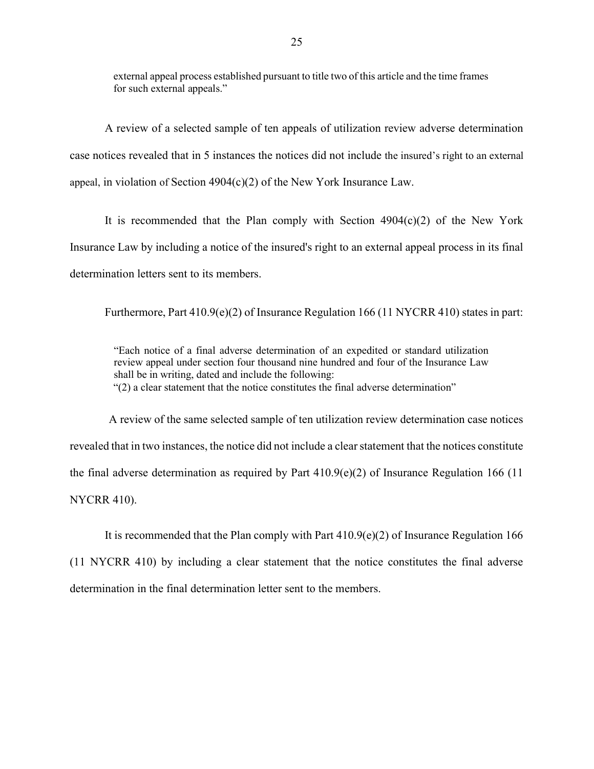external appeal process established pursuant to title two of this article and the time frames for such external appeals."

A review of a selected sample of ten appeals of utilization review adverse determination case notices revealed that in 5 instances the notices did not include the insured's right to an external appeal, in violation of Section 4904(c)(2) of the New York Insurance Law.

It is recommended that the Plan comply with Section  $4904(c)(2)$  of the New York Insurance Law by including a notice of the insured's right to an external appeal process in its final determination letters sent to its members.

Furthermore, Part 410.9(e)(2) of Insurance Regulation 166 (11 NYCRR 410) states in part:

"Each notice of a final adverse determination of an expedited or standard utilization review appeal under section four thousand nine hundred and four of the Insurance Law shall be in writing, dated and include the following: "(2) a clear statement that the notice constitutes the final adverse determination"

A review of the same selected sample of ten utilization review determination case notices revealed that in two instances, the notice did not include a clear statement that the notices constitute the final adverse determination as required by Part 410.9(e)(2) of Insurance Regulation 166 (11 NYCRR 410).

It is recommended that the Plan comply with Part  $410.9(e)(2)$  of Insurance Regulation 166 (11 NYCRR 410) by including a clear statement that the notice constitutes the final adverse determination in the final determination letter sent to the members.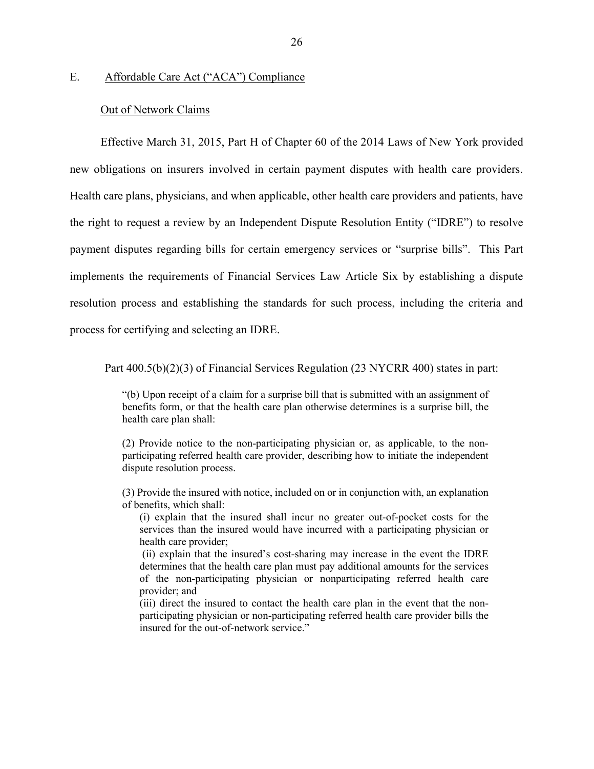#### E. Affordable Care Act ("ACA") Compliance

#### Out of Network Claims

Effective March 31, 2015, Part H of Chapter 60 of the 2014 Laws of New York provided new obligations on insurers involved in certain payment disputes with health care providers. Health care plans, physicians, and when applicable, other health care providers and patients, have the right to request a review by an Independent Dispute Resolution Entity ("IDRE") to resolve payment disputes regarding bills for certain emergency services or "surprise bills". This Part implements the requirements of Financial Services Law Article Six by establishing a dispute resolution process and establishing the standards for such process, including the criteria and process for certifying and selecting an IDRE.

Part 400.5(b)(2)(3) of Financial Services Regulation (23 NYCRR 400) states in part:

"(b) Upon receipt of a claim for a surprise bill that is submitted with an assignment of benefits form, or that the health care plan otherwise determines is a surprise bill, the health care plan shall:

(2) Provide notice to the non-participating physician or, as applicable, to the nonparticipating referred health care provider, describing how to initiate the independent dispute resolution process.

(3) Provide the insured with notice, included on or in conjunction with, an explanation of benefits, which shall:

(i) explain that the insured shall incur no greater out-of-pocket costs for the services than the insured would have incurred with a participating physician or health care provider;

 (ii) explain that the insured's cost-sharing may increase in the event the IDRE determines that the health care plan must pay additional amounts for the services of the non-participating physician or nonparticipating referred health care provider; and

(iii) direct the insured to contact the health care plan in the event that the nonparticipating physician or non-participating referred health care provider bills the insured for the out-of-network service."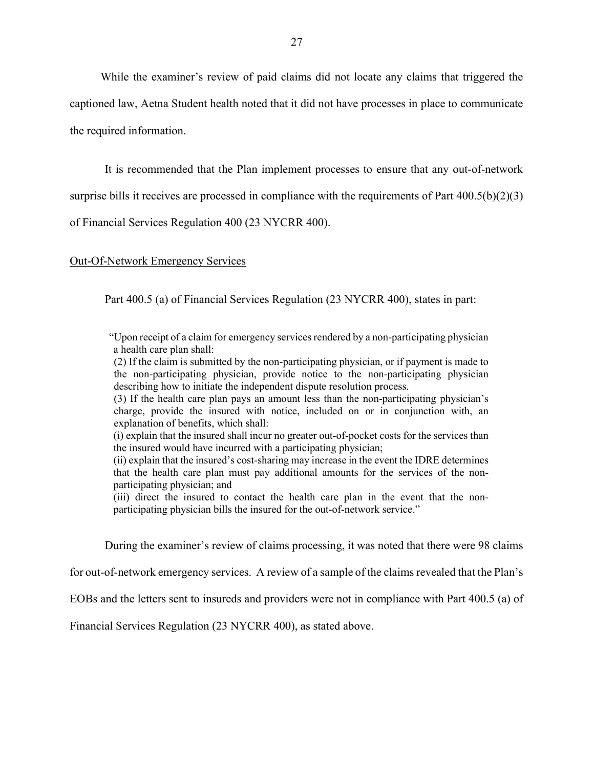While the examiner's review of paid claims did not locate any claims that triggered the captioned law, Aetna Student health noted that it did not have processes in place to communicate the required information.

It is recommended that the Plan implement processes to ensure that any out-of-network

surprise bills it receives are processed in compliance with the requirements of Part  $400.5(b)(2)(3)$ 

of Financial Services Regulation 400 (23 NYCRR 400).

#### Out-Of-Network Emergency Services

Part 400.5 (a) of Financial Services Regulation (23 NYCRR 400), states in part:

"Upon receipt of a claim for emergency services rendered by a non-participating physician a health care plan shall:

(2) If the claim is submitted by the non-participating physician, or if payment is made to the non-participating physician, provide notice to the non-participating physician describing how to initiate the independent dispute resolution process.

(3) If the health care plan pays an amount less than the non-participating physician's charge, provide the insured with notice, included on or in conjunction with, an explanation of benefits, which shall:

(i) explain that the insured shall incur no greater out-of-pocket costs for the services than the insured would have incurred with a participating physician;

(ii) explain that the insured's cost-sharing may increase in the event the IDRE determines that the health care plan must pay additional amounts for the services of the nonparticipating physician; and

(iii) direct the insured to contact the health care plan in the event that the nonparticipating physician bills the insured for the out-of-network service."

During the examiner's review of claims processing, it was noted that there were 98 claims

for out-of-network emergency services. A review of a sample of the claims revealed that the Plan's

EOBs and the letters sent to insureds and providers were not in compliance with Part 400.5 (a) of

Financial Services Regulation (23 NYCRR 400), as stated above.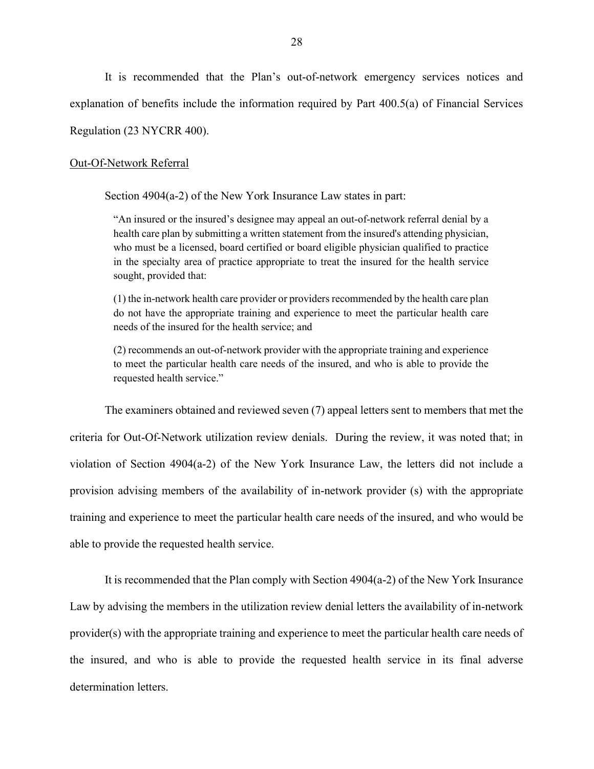It is recommended that the Plan's out-of-network emergency services notices and explanation of benefits include the information required by Part 400.5(a) of Financial Services Regulation (23 NYCRR 400).

#### Out-Of-Network Referral

Section 4904(a-2) of the New York Insurance Law states in part:

"An insured or the insured's designee may appeal an out-of-network referral denial by a health care plan by submitting a written statement from the insured's attending physician, who must be a licensed, board certified or board eligible physician qualified to practice in the specialty area of practice appropriate to treat the insured for the health service sought, provided that:

(1) the in-network health care provider or providers recommended by the health care plan do not have the appropriate training and experience to meet the particular health care needs of the insured for the health service; and

(2) recommends an out-of-network provider with the appropriate training and experience to meet the particular health care needs of the insured, and who is able to provide the requested health service."

The examiners obtained and reviewed seven (7) appeal letters sent to members that met the criteria for Out-Of-Network utilization review denials. During the review, it was noted that; in violation of Section 4904(a-2) of the New York Insurance Law, the letters did not include a provision advising members of the availability of in-network provider (s) with the appropriate training and experience to meet the particular health care needs of the insured, and who would be able to provide the requested health service.

It is recommended that the Plan comply with Section 4904(a-2) of the New York Insurance Law by advising the members in the utilization review denial letters the availability of in-network provider(s) with the appropriate training and experience to meet the particular health care needs of the insured, and who is able to provide the requested health service in its final adverse determination letters.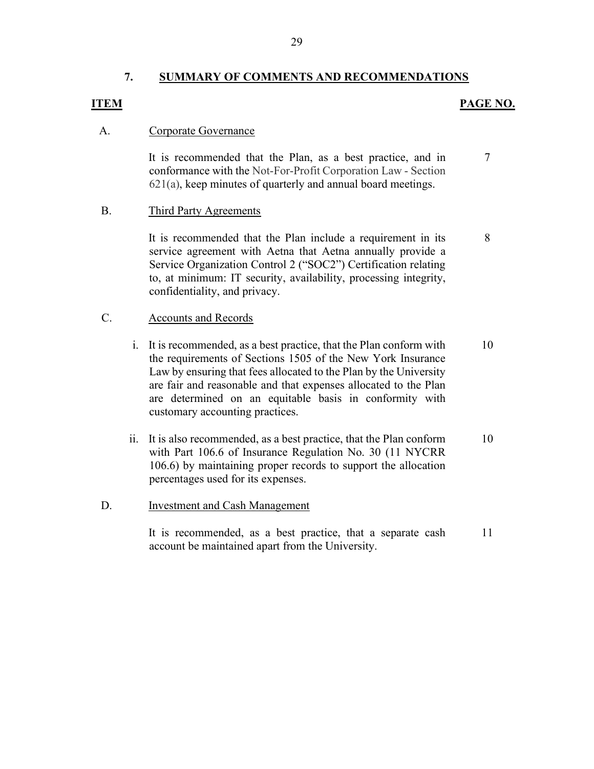#### 7. SUMMARY OF COMMENTS AND RECOMMENDATIONS

### ITEM PAGE NO.

7

8

#### A. Corporate Governance

 It is recommended that the Plan, as a best practice, and in conformance with the Not-For-Profit Corporation Law - Section 621(a), keep minutes of quarterly and annual board meetings.

#### B. Third Party Agreements

It is recommended that the Plan include a requirement in its service agreement with Aetna that Aetna annually provide a Service Organization Control 2 ("SOC2") Certification relating to, at minimum: IT security, availability, processing integrity, confidentiality, and privacy.

## C. Accounts and Records

- i. It is recommended, as a best practice, that the Plan conform with the requirements of Sections 1505 of the New York Insurance Law by ensuring that fees allocated to the Plan by the University are fair and reasonable and that expenses allocated to the Plan are determined on an equitable basis in conformity with customary accounting practices. 10
- ii. It is also recommended, as a best practice, that the Plan conform with Part 106.6 of Insurance Regulation No. 30 (11 NYCRR 106.6) by maintaining proper records to support the allocation percentages used for its expenses. 10

#### D. **Investment and Cash Management**

It is recommended, as a best practice, that a separate cash account be maintained apart from the University. 11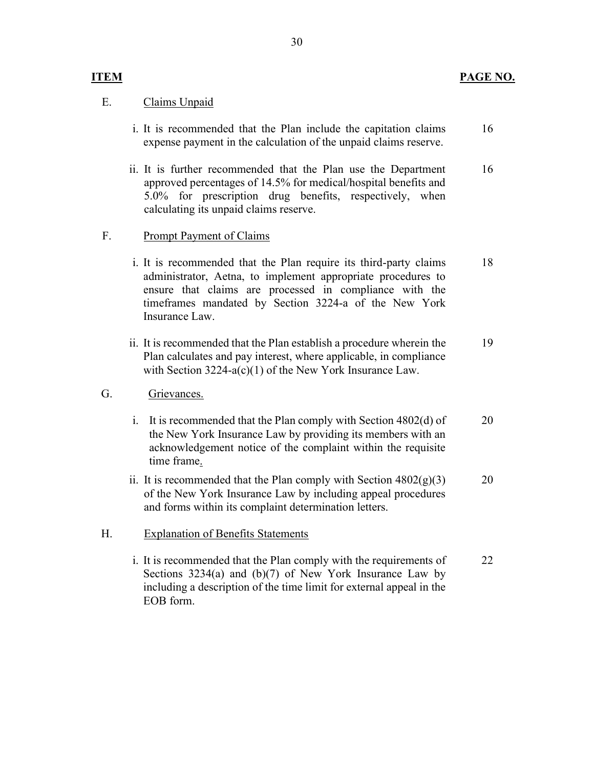## E. Claims Unpaid

- i. It is recommended that the Plan include the capitation claims expense payment in the calculation of the unpaid claims reserve. 16
- ii. It is further recommended that the Plan use the Department approved percentages of 14.5% for medical/hospital benefits and 5.0% for prescription drug benefits, respectively, when calculating its unpaid claims reserve. 16

## F. Prompt Payment of Claims

- i. It is recommended that the Plan require its third-party claims administrator, Aetna, to implement appropriate procedures to ensure that claims are processed in compliance with the timeframes mandated by Section 3224-a of the New York Insurance Law. 18
- ii. It is recommended that the Plan establish a procedure wherein the Plan calculates and pay interest, where applicable, in compliance with Section 3224-a(c)(1) of the New York Insurance Law. 19

### G. Grievances.

- i. It is recommended that the Plan comply with Section 4802(d) of the New York Insurance Law by providing its members with an acknowledgement notice of the complaint within the requisite time frame. 20
- ii. It is recommended that the Plan comply with Section  $4802(g)(3)$ of the New York Insurance Law by including appeal procedures and forms within its complaint determination letters. 20

# H. Explanation of Benefits Statements

i. It is recommended that the Plan comply with the requirements of Sections 3234(a) and (b)(7) of New York Insurance Law by including a description of the time limit for external appeal in the EOB form. 22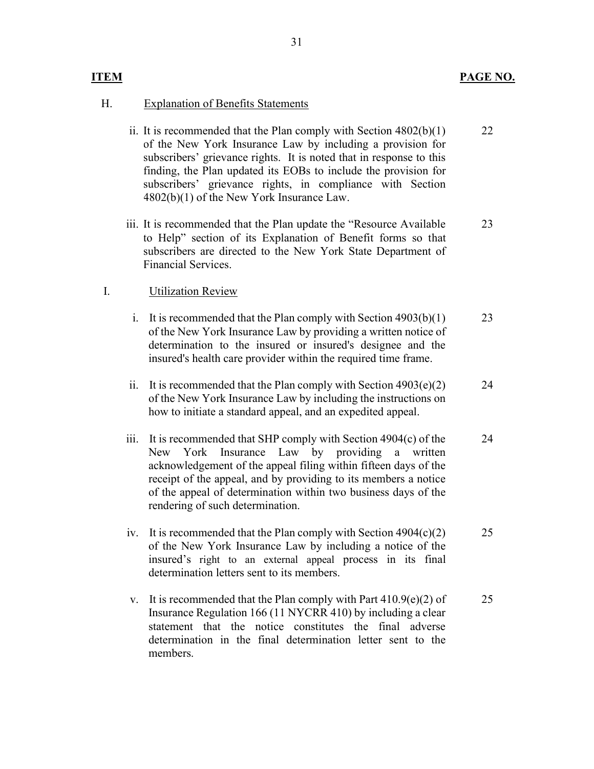### ITEM PAGE NO.

### H. Explanation of Benefits Statements

- ii. It is recommended that the Plan comply with Section 4802(b)(1) of the New York Insurance Law by including a provision for subscribers' grievance rights. It is noted that in response to this finding, the Plan updated its EOBs to include the provision for subscribers' grievance rights, in compliance with Section 4802(b)(1) of the New York Insurance Law. 22
- iii. It is recommended that the Plan update the "Resource Available to Help" section of its Explanation of Benefit forms so that subscribers are directed to the New York State Department of Financial Services. 23

#### I. Utilization Review

- i. It is recommended that the Plan comply with Section  $4903(b)(1)$ of the New York Insurance Law by providing a written notice of determination to the insured or insured's designee and the insured's health care provider within the required time frame. 23
- ii. It is recommended that the Plan comply with Section  $4903(e)(2)$ of the New York Insurance Law by including the instructions on how to initiate a standard appeal, and an expedited appeal. 24
- iii. It is recommended that SHP comply with Section 4904(c) of the New York Insurance Law by providing a written acknowledgement of the appeal filing within fifteen days of the receipt of the appeal, and by providing to its members a notice of the appeal of determination within two business days of the rendering of such determination. 24
- iv. It is recommended that the Plan comply with Section  $4904(c)(2)$ of the New York Insurance Law by including a notice of the insured's right to an external appeal process in its final determination letters sent to its members. 25
- v. It is recommended that the Plan comply with Part  $410.9(e)(2)$  of Insurance Regulation 166 (11 NYCRR 410) by including a clear statement that the notice constitutes the final adverse determination in the final determination letter sent to the members. 25

31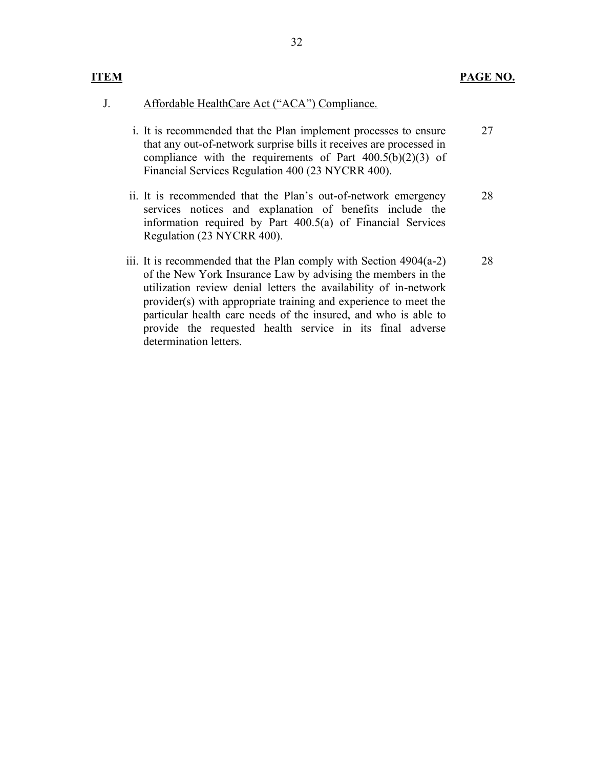- J. Affordable HealthCare Act ("ACA") Compliance.
	- i. It is recommended that the Plan implement processes to ensure that any out-of-network surprise bills it receives are processed in compliance with the requirements of Part  $400.5(b)(2)(3)$  of Financial Services Regulation 400 (23 NYCRR 400). 27
	- ii. It is recommended that the Plan's out-of-network emergency services notices and explanation of benefits include the information required by Part 400.5(a) of Financial Services Regulation (23 NYCRR 400). 28
	- iii. It is recommended that the Plan comply with Section 4904(a-2) of the New York Insurance Law by advising the members in the utilization review denial letters the availability of in-network provider(s) with appropriate training and experience to meet the particular health care needs of the insured, and who is able to provide the requested health service in its final adverse determination letters. 28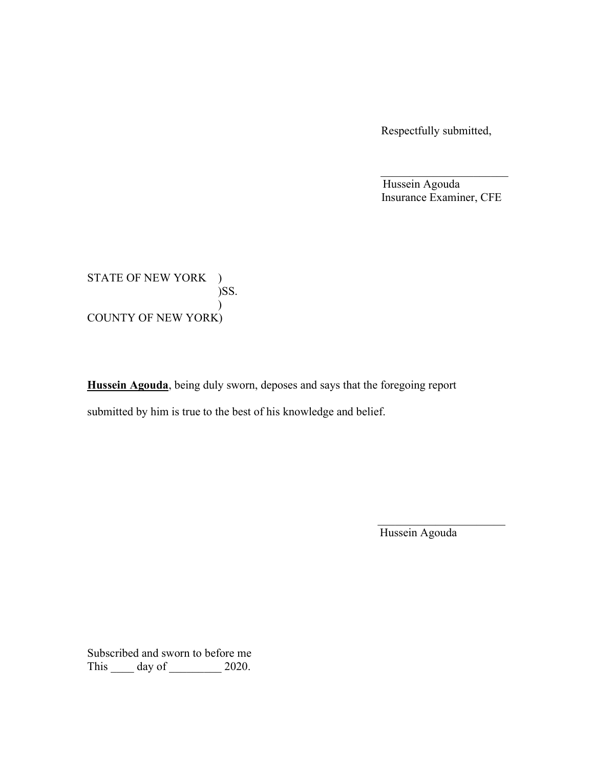Respectfully submitted,

 Hussein Agouda Insurance Examiner, CFE

STATE OF NEW YORK )  $\sum$  $)$ COUNTY OF NEW YORK)

Hussein Agouda, being duly sworn, deposes and says that the foregoing report submitted by him is true to the best of his knowledge and belief.

Hussein Agouda

Subscribed and sworn to before me This \_\_\_\_\_ day of \_\_\_\_\_\_\_\_\_ 2020.